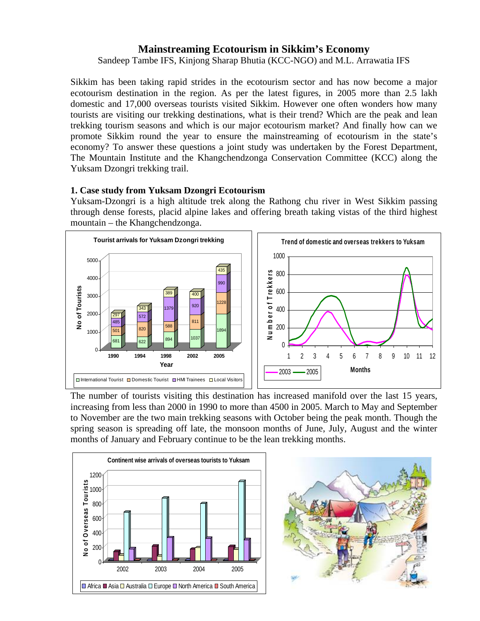# **Mainstreaming Ecotourism in Sikkim's Economy**

Sandeep Tambe IFS, Kinjong Sharap Bhutia (KCC-NGO) and M.L. Arrawatia IFS

Sikkim has been taking rapid strides in the ecotourism sector and has now become a major ecotourism destination in the region. As per the latest figures, in 2005 more than 2.5 lakh domestic and 17,000 overseas tourists visited Sikkim. However one often wonders how many tourists are visiting our trekking destinations, what is their trend? Which are the peak and lean trekking tourism seasons and which is our major ecotourism market? And finally how can we promote Sikkim round the year to ensure the mainstreaming of ecotourism in the state's economy? To answer these questions a joint study was undertaken by the Forest Department, The Mountain Institute and the Khangchendzonga Conservation Committee (KCC) along the Yuksam Dzongri trekking trail.

# **1. Case study from Yuksam Dzongri Ecotourism**

Yuksam-Dzongri is a high altitude trek along the Rathong chu river in West Sikkim passing through dense forests, placid alpine lakes and offering breath taking vistas of the third highest mountain – the Khangchendzonga.



The number of tourists visiting this destination has increased manifold over the last 15 years, increasing from less than 2000 in 1990 to more than 4500 in 2005. March to May and September to November are the two main trekking seasons with October being the peak month. Though the spring season is spreading off late, the monsoon months of June, July, August and the winter months of January and February continue to be the lean trekking months.



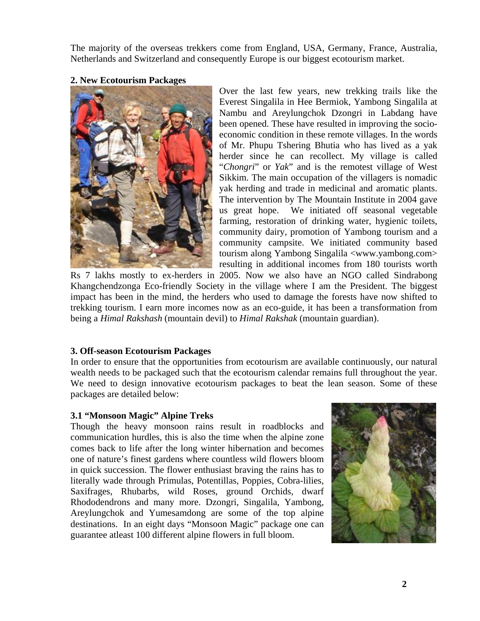The majority of the overseas trekkers come from England, USA, Germany, France, Australia, Netherlands and Switzerland and consequently Europe is our biggest ecotourism market.

#### **2. New Ecotourism Packages**



Over the last few years, new trekking trails like the Everest Singalila in Hee Bermiok, Yambong Singalila at Nambu and Areylungchok Dzongri in Labdang have been opened. These have resulted in improving the socioeconomic condition in these remote villages. In the words of Mr. Phupu Tshering Bhutia who has lived as a yak herder since he can recollect. My village is called "*Chongri*" or *Yak*" and is the remotest village of West Sikkim. The main occupation of the villagers is nomadic yak herding and trade in medicinal and aromatic plants. The intervention by The Mountain Institute in 2004 gave us great hope. We initiated off seasonal vegetable farming, restoration of drinking water, hygienic toilets, community dairy, promotion of Yambong tourism and a community campsite. We initiated community based tourism along Yambong Singalila <www.yambong.com> resulting in additional incomes from 180 tourists worth

Rs 7 lakhs mostly to ex-herders in 2005. Now we also have an NGO called Sindrabong Khangchendzonga Eco-friendly Society in the village where I am the President. The biggest impact has been in the mind, the herders who used to damage the forests have now shifted to trekking tourism. I earn more incomes now as an eco-guide, it has been a transformation from being a *Himal Rakshash* (mountain devil) to *Himal Rakshak* (mountain guardian).

# **3. Off-season Ecotourism Packages**

In order to ensure that the opportunities from ecotourism are available continuously, our natural wealth needs to be packaged such that the ecotourism calendar remains full throughout the year. We need to design innovative ecotourism packages to beat the lean season. Some of these packages are detailed below:

# **3.1 "Monsoon Magic" Alpine Treks**

Though the heavy monsoon rains result in roadblocks and communication hurdles, this is also the time when the alpine zone comes back to life after the long winter hibernation and becomes one of nature's finest gardens where countless wild flowers bloom in quick succession. The flower enthusiast braving the rains has to literally wade through Primulas, Potentillas, Poppies, Cobra-lilies, Saxifrages, Rhubarbs, wild Roses, ground Orchids, dwarf Rhododendrons and many more. Dzongri, Singalila, Yambong, Areylungchok and Yumesamdong are some of the top alpine destinations. In an eight days "Monsoon Magic" package one can guarantee atleast 100 different alpine flowers in full bloom.